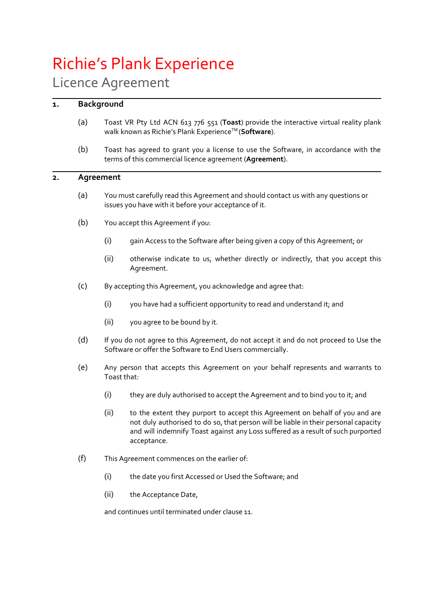# Richie's Plank Experience

# Licence Agreement

# **1. Background**

- (a) Toast VR Pty Ltd ACN 613 776 551 (**Toast**) provide the interactive virtual reality plank walk known as Richie's Plank Experience<sup>™</sup> (Software).
- (b) Toast has agreed to grant you a license to use the Software, in accordance with the terms of this commercial licence agreement (**Agreement**).

# **2. Agreement**

- (a) You must carefully read this Agreement and should contact us with any questions or issues you have with it before your acceptance of it.
- (b) You accept this Agreement if you:
	- (i) gain Access to the Software after being given a copy of this Agreement; or
	- (ii) otherwise indicate to us, whether directly or indirectly, that you accept this Agreement.
- (c) By accepting this Agreement, you acknowledge and agree that:
	- (i) you have had a sufficient opportunity to read and understand it; and
	- (ii) you agree to be bound by it.
- (d) If you do not agree to this Agreement, do not accept it and do not proceed to Use the Software or offer the Software to End Users commercially.
- (e) Any person that accepts this Agreement on your behalf represents and warrants to Toast that:
	- (i) they are duly authorised to accept the Agreement and to bind you to it; and
	- (ii) to the extent they purport to accept this Agreement on behalf of you and are not duly authorised to do so, that person will be liable in their personal capacity and will indemnify Toast against any Loss suffered as a result of such purported acceptance.
- (f) This Agreement commences on the earlier of:
	- (i) the date you first Accessed or Used the Software; and
	- (ii) the Acceptance Date,

and continues until terminated under clause 11.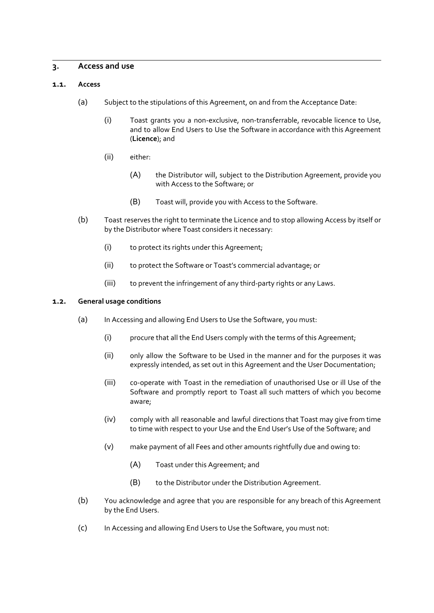# **3. Access and use**

#### **1.1. Access**

- (a) Subject to the stipulations of this Agreement, on and from the Acceptance Date:
	- (i) Toast grants you a non-exclusive, non-transferrable, revocable licence to Use, and to allow End Users to Use the Software in accordance with this Agreement (**Licence**); and
	- (ii) either:
		- (A) the Distributor will, subject to the Distribution Agreement, provide you with Access to the Software; or
		- (B) Toast will, provide you with Access to the Software.
- (b) Toast reserves the right to terminate the Licence and to stop allowing Access by itself or by the Distributor where Toast considers it necessary:
	- (i) to protect its rights under this Agreement;
	- (ii) to protect the Software or Toast's commercial advantage; or
	- (iii) to prevent the infringement of any third-party rights or any Laws.

#### **1.2. General usage conditions**

- (a) In Accessing and allowing End Users to Use the Software, you must:
	- (i) procure that all the End Users comply with the terms of this Agreement;
	- (ii) only allow the Software to be Used in the manner and for the purposes it was expressly intended, as set out in this Agreement and the User Documentation;
	- (iii) co-operate with Toast in the remediation of unauthorised Use or ill Use of the Software and promptly report to Toast all such matters of which you become aware;
	- (iv) comply with all reasonable and lawful directions that Toast may give from time to time with respect to your Use and the End User's Use of the Software; and
	- (v) make payment of all Fees and other amounts rightfully due and owing to:
		- (A) Toast under this Agreement; and
		- (B) to the Distributor under the Distribution Agreement.
- (b) You acknowledge and agree that you are responsible for any breach of this Agreement by the End Users.
- (c) In Accessing and allowing End Users to Use the Software, you must not: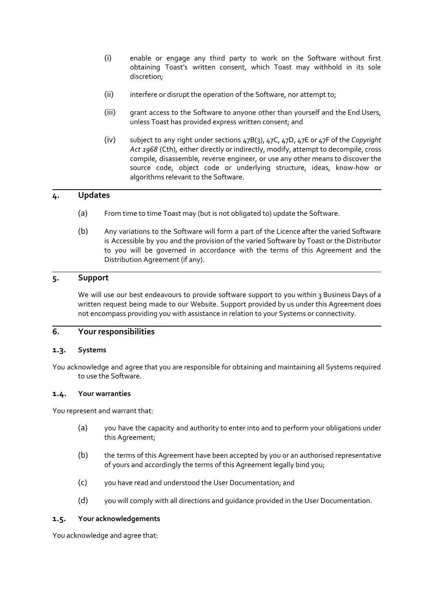- (i) enable or engage any third party to work on the Software without first obtaining Toast's written consent, which Toast may withhold in its sole discretion;
- (ii) interfere or disrupt the operation of the Software, nor attempt to;
- (iii) grant access to the Software to anyone other than yourself and the End Users, unless Toast has provided express written consent; and
- (iv) subject to any right under sections 47B(3), 47C, 47D, 47E or 47F of the *Copyright Act 1968* (Cth), either directly or indirectly, modify, attempt to decompile, cross compile, disassemble, reverse engineer, or use any other means to discover the source code, object code or underlying structure, ideas, know-how or algorithms relevant to the Software.

# **4. Updates**

- (a) From time to time Toast may (but is not obligated to) update the Software.
- (b) Any variations to the Software will form a part of the Licence after the varied Software is Accessible by you and the provision of the varied Software by Toast or the Distributor to you will be governed in accordance with the terms of this Agreement and the Distribution Agreement (if any).

# **5. Support**

We will use our best endeavours to provide software support to you within 3 Business Days of a written request being made to our Website. Support provided by us under this Agreement does not encompass providing you with assistance in relation to your Systems or connectivity.

# **6. Your responsibilities**

#### **1.3. Systems**

You acknowledge and agree that you are responsible for obtaining and maintaining all Systems required to use the Software.

#### **1.4. Your warranties**

You represent and warrant that:

- (a) you have the capacity and authority to enter into and to perform your obligations under this Agreement;
- (b) the terms of this Agreement have been accepted by you or an authorised representative of yours and accordingly the terms of this Agreement legally bind you;
- (c) you have read and understood the User Documentation; and
- (d) you will comply with all directions and guidance provided in the User Documentation.

#### **1.5. Your acknowledgements**

You acknowledge and agree that: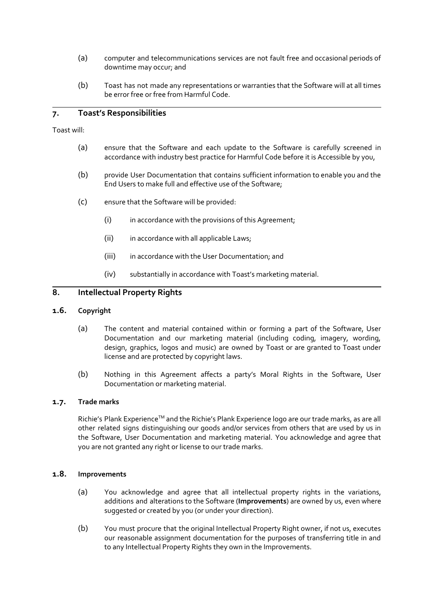- (a) computer and telecommunications services are not fault free and occasional periods of downtime may occur; and
- (b) Toast has not made any representations or warranties that the Software will at all times be error free or free from Harmful Code.

# **7. Toast's Responsibilities**

Toast will:

- (a) ensure that the Software and each update to the Software is carefully screened in accordance with industry best practice for Harmful Code before it is Accessible by you,
- (b) provide User Documentation that contains sufficient information to enable you and the End Users to make full and effective use of the Software;
- (c) ensure that the Software will be provided:
	- (i) in accordance with the provisions of this Agreement;
	- (ii) in accordance with all applicable Laws;
	- (iii) in accordance with the User Documentation; and
	- (iv) substantially in accordance with Toast's marketing material.

# **8. Intellectual Property Rights**

#### **1.6. Copyright**

- (a) The content and material contained within or forming a part of the Software, User Documentation and our marketing material (including coding, imagery, wording, design, graphics, logos and music) are owned by Toast or are granted to Toast under license and are protected by copyright laws.
- (b) Nothing in this Agreement affects a party's Moral Rights in the Software, User Documentation or marketing material.

#### **1.7. Trade marks**

Richie's Plank Experience™ and the Richie's Plank Experience logo are our trade marks, as are all other related signs distinguishing our goods and/or services from others that are used by us in the Software, User Documentation and marketing material. You acknowledge and agree that you are not granted any right or license to our trade marks.

#### **1.8. Improvements**

- (a) You acknowledge and agree that all intellectual property rights in the variations, additions and alterations to the Software (**Improvements**) are owned by us, even where suggested or created by you (or under your direction).
- (b) You must procure that the original Intellectual Property Right owner, if not us, executes our reasonable assignment documentation for the purposes of transferring title in and to any Intellectual Property Rights they own in the Improvements.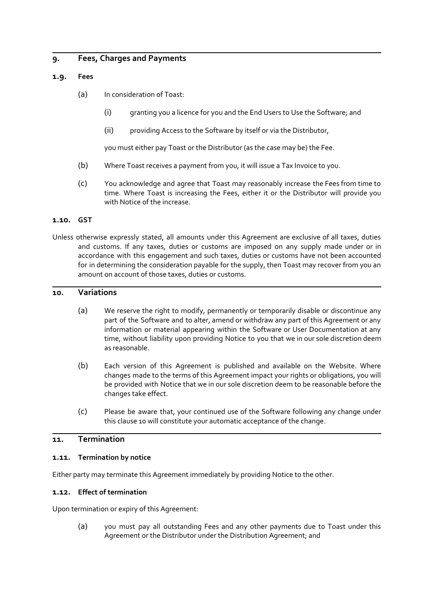# **9. Fees, Charges and Payments**

#### **1.9. Fees**

- (a) In consideration of Toast:
	- (i) granting you a licence for you and the End Users to Use the Software; and
	- (ii) providing Access to the Software by itself or via the Distributor,

you must either pay Toast or the Distributor (as the case may be) the Fee.

- (b) Where Toast receives a payment from you, it will issue a Tax Invoice to you.
- (c) You acknowledge and agree that Toast may reasonably increase the Fees from time to time. Where Toast is increasing the Fees, either it or the Distributor will provide you with Notice of the increase.

#### **1.10. GST**

Unless otherwise expressly stated, all amounts under this Agreement are exclusive of all taxes, duties and customs. If any taxes, duties or customs are imposed on any supply made under or in accordance with this engagement and such taxes, duties or customs have not been accounted for in determining the consideration payable for the supply, then Toast may recover from you an amount on account of those taxes, duties or customs.

#### **10. Variations**

- (a) We reserve the right to modify, permanently or temporarily disable or discontinue any part of the Software and to alter, amend or withdraw any part of this Agreement or any information or material appearing within the Software or User Documentation at any time, without liability upon providing Notice to you that we in our sole discretion deem as reasonable.
- (b) Each version of this Agreement is published and available on the Website. Where changes made to the terms of this Agreement impact your rights or obligations, you will be provided with Notice that we in our sole discretion deem to be reasonable before the changes take effect.
- (c) Please be aware that, your continued use of the Software following any change under this clause 10 will constitute your automatic acceptance of the change.

# **11. Termination**

#### **1.11. Termination by notice**

Either party may terminate this Agreement immediately by providing Notice to the other.

#### **1.12. Effect of termination**

Upon termination or expiry of this Agreement:

(a) you must pay all outstanding Fees and any other payments due to Toast under this Agreement or the Distributor under the Distribution Agreement; and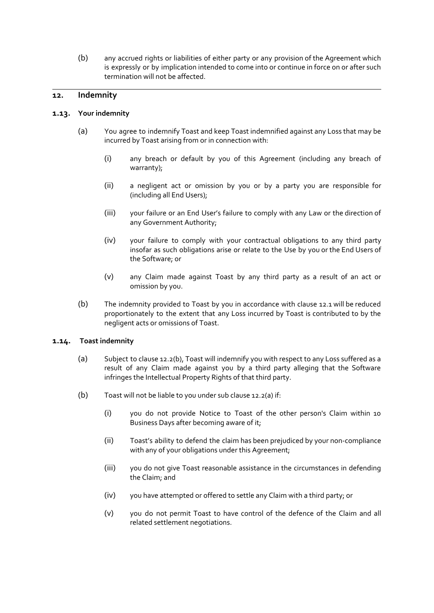(b) any accrued rights or liabilities of either party or any provision of the Agreement which is expressly or by implication intended to come into or continue in force on or after such termination will not be affected.

# **12. Indemnity**

#### **1.13. Your indemnity**

- (a) You agree to indemnify Toast and keep Toast indemnified against any Loss that may be incurred by Toast arising from or in connection with:
	- (i) any breach or default by you of this Agreement (including any breach of warranty);
	- (ii) a negligent act or omission by you or by a party you are responsible for (including all End Users);
	- (iii) your failure or an End User's failure to comply with any Law or the direction of any Government Authority;
	- (iv) your failure to comply with your contractual obligations to any third party insofar as such obligations arise or relate to the Use by you or the End Users of the Software; or
	- (v) any Claim made against Toast by any third party as a result of an act or omission by you.
- (b) The indemnity provided to Toast by you in accordance with clause 12.1 will be reduced proportionately to the extent that any Loss incurred by Toast is contributed to by the negligent acts or omissions of Toast.

#### **1.14. Toast indemnity**

- (a) Subject to clause 12.2(b), Toast will indemnify you with respect to any Loss suffered as a result of any Claim made against you by a third party alleging that the Software infringes the Intellectual Property Rights of that third party.
- (b) Toast will not be liable to you under sub clause 12.2(a) if:
	- (i) you do not provide Notice to Toast of the other person's Claim within 10 Business Days after becoming aware of it;
	- (ii) Toast's ability to defend the claim has been prejudiced by your non-compliance with any of your obligations under this Agreement;
	- (iii) you do not give Toast reasonable assistance in the circumstances in defending the Claim; and
	- (iv) you have attempted or offered to settle any Claim with a third party; or
	- (v) you do not permit Toast to have control of the defence of the Claim and all related settlement negotiations.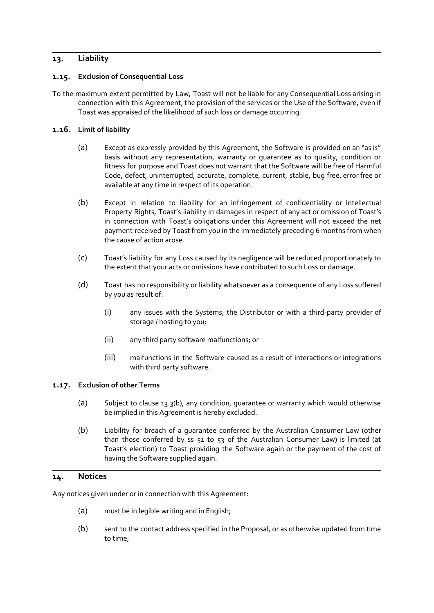# **13. Liability**

### **1.15. Exclusion of Consequential Loss**

To the maximum extent permitted by Law, Toast will not be liable for any Consequential Loss arising in connection with this Agreement, the provision of the services or the Use of the Software, even if Toast was appraised of the likelihood of such loss or damage occurring.

### **1.16. Limit of liability**

- (a) Except as expressly provided by this Agreement, the Software is provided on an "as is" basis without any representation, warranty or guarantee as to quality, condition or fitness for purpose and Toast does not warrant that the Software will be free of Harmful Code, defect, uninterrupted, accurate, complete, current, stable, bug free, error free or available at any time in respect of its operation.
- (b) Except in relation to liability for an infringement of confidentiality or Intellectual Property Rights, Toast's liability in damages in respect of any act or omission of Toast's in connection with Toast's obligations under this Agreement will not exceed the net payment received by Toast from you in the immediately preceding 6 months from when the cause of action arose.
- (c) Toast's liability for any Loss caused by its negligence will be reduced proportionately to the extent that your acts or omissions have contributed to such Loss or damage.
- (d) Toast has no responsibility or liability whatsoever as a consequence of any Loss suffered by you as result of:
	- (i) any issues with the Systems, the Distributor or with a third-party provider of storage / hosting to you;
	- (ii) any third party software malfunctions; or
	- (iii) malfunctions in the Software caused as a result of interactions or integrations with third party software.

#### **1.17. Exclusion of other Terms**

- (a) Subject to clause 13.3(b), any condition, guarantee or warranty which would otherwise be implied in this Agreement is hereby excluded.
- (b) Liability for breach of a guarantee conferred by the Australian Consumer Law (other than those conferred by ss 51 to 53 of the Australian Consumer Law) is limited (at Toast's election) to Toast providing the Software again or the payment of the cost of having the Software supplied again.

# **14. Notices**

Any notices given under or in connection with this Agreement:

- (a) must be in legible writing and in English;
- (b) sent to the contact address specified in the Proposal, or as otherwise updated from time to time;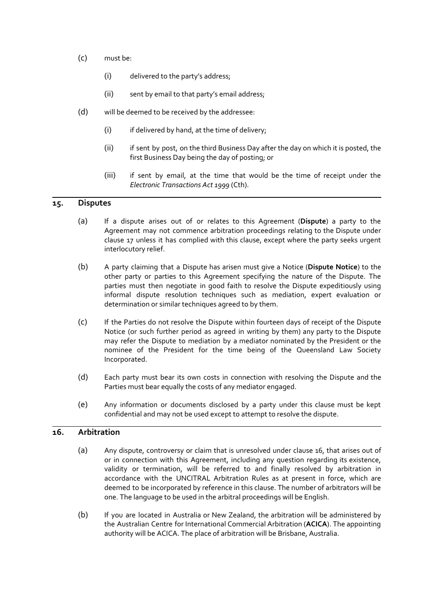- (c) must be:
	- (i) delivered to the party's address;
	- (ii) sent by email to that party's email address;
- (d) will be deemed to be received by the addressee:
	- (i) if delivered by hand, at the time of delivery;
	- (ii) if sent by post, on the third Business Day after the day on which it is posted, the first Business Day being the day of posting; or
	- (iii) if sent by email, at the time that would be the time of receipt under the *Electronic Transactions Act 1999* (Cth).

# **15. Disputes**

- (a) If a dispute arises out of or relates to this Agreement (**Dispute**) a party to the Agreement may not commence arbitration proceedings relating to the Dispute under clause 17 unless it has complied with this clause, except where the party seeks urgent interlocutory relief.
- (b) A party claiming that a Dispute has arisen must give a Notice (**Dispute Notice**) to the other party or parties to this Agreement specifying the nature of the Dispute. The parties must then negotiate in good faith to resolve the Dispute expeditiously using informal dispute resolution techniques such as mediation, expert evaluation or determination or similar techniques agreed to by them.
- (c) If the Parties do not resolve the Dispute within fourteen days of receipt of the Dispute Notice (or such further period as agreed in writing by them) any party to the Dispute may refer the Dispute to mediation by a mediator nominated by the President or the nominee of the President for the time being of the Queensland Law Society Incorporated.
- (d) Each party must bear its own costs in connection with resolving the Dispute and the Parties must bear equally the costs of any mediator engaged.
- (e) Any information or documents disclosed by a party under this clause must be kept confidential and may not be used except to attempt to resolve the dispute.

### **16. Arbitration**

- (a) Any dispute, controversy or claim that is unresolved under clause 16, that arises out of or in connection with this Agreement, including any question regarding its existence, validity or termination, will be referred to and finally resolved by arbitration in accordance with the UNCITRAL Arbitration Rules as at present in force, which are deemed to be incorporated by reference in this clause. The number of arbitrators will be one. The language to be used in the arbitral proceedings will be English.
- (b) If you are located in Australia or New Zealand, the arbitration will be administered by the Australian Centre for International Commercial Arbitration (**ACICA**). The appointing authority will be ACICA. The place of arbitration will be Brisbane, Australia.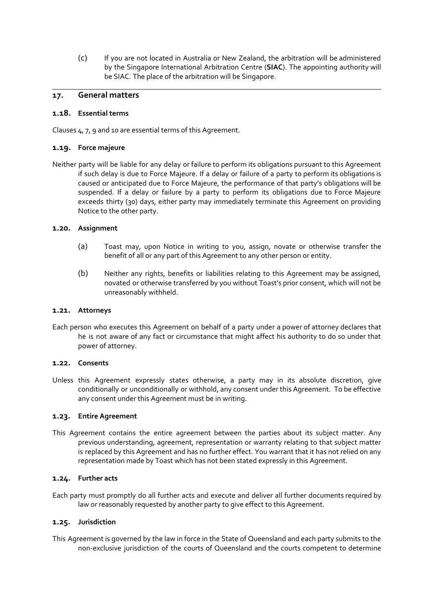(c) If you are not located in Australia or New Zealand, the arbitration will be administered by the Singapore International Arbitration Centre (**SIAC**). The appointing authority will be SIAC. The place of the arbitration will be Singapore.

### **17. General matters**

#### **1.18. Essential terms**

Clauses 4, 7, 9 and 10 are essential terms of this Agreement.

### **1.19. Force majeure**

Neither party will be liable for any delay or failure to perform its obligations pursuant to this Agreement if such delay is due to Force Majeure. If a delay or failure of a party to perform its obligations is caused or anticipated due to Force Majeure, the performance of that party's obligations will be suspended. If a delay or failure by a party to perform its obligations due to Force Majeure exceeds thirty (30) days, either party may immediately terminate this Agreement on providing Notice to the other party.

#### **1.20. Assignment**

- (a) Toast may, upon Notice in writing to you, assign, novate or otherwise transfer the benefit of all or any part of this Agreement to any other person or entity.
- (b) Neither any rights, benefits or liabilities relating to this Agreement may be assigned, novated or otherwise transferred by you without Toast's prior consent, which will not be unreasonably withheld.

#### **1.21. Attorneys**

Each person who executes this Agreement on behalf of a party under a power of attorney declares that he is not aware of any fact or circumstance that might affect his authority to do so under that power of attorney.

#### **1.22. Consents**

Unless this Agreement expressly states otherwise, a party may in its absolute discretion, give conditionally or unconditionally or withhold, any consent under this Agreement. To be effective any consent under this Agreement must be in writing.

#### **1.23. Entire Agreement**

This Agreement contains the entire agreement between the parties about its subject matter. Any previous understanding, agreement, representation or warranty relating to that subject matter is replaced by this Agreement and has no further effect. You warrant that it has not relied on any representation made by Toast which has not been stated expressly in this Agreement.

#### **1.24. Further acts**

Each party must promptly do all further acts and execute and deliver all further documents required by law or reasonably requested by another party to give effect to this Agreement.

#### **1.25. Jurisdiction**

This Agreement is governed by the law in force in the State of Queensland and each party submits to the non-exclusive jurisdiction of the courts of Queensland and the courts competent to determine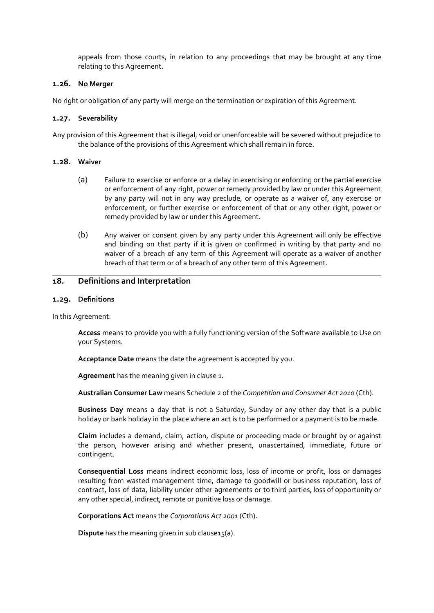appeals from those courts, in relation to any proceedings that may be brought at any time relating to this Agreement.

#### **1.26. No Merger**

No right or obligation of any party will merge on the termination or expiration of this Agreement.

#### **1.27. Severability**

Any provision of this Agreement that is illegal, void or unenforceable will be severed without prejudice to the balance of the provisions of this Agreement which shall remain in force.

#### **1.28. Waiver**

- (a) Failure to exercise or enforce or a delay in exercising or enforcing or the partial exercise or enforcement of any right, power or remedy provided by law or under this Agreement by any party will not in any way preclude, or operate as a waiver of, any exercise or enforcement, or further exercise or enforcement of that or any other right, power or remedy provided by law or under this Agreement.
- (b) Any waiver or consent given by any party under this Agreement will only be effective and binding on that party if it is given or confirmed in writing by that party and no waiver of a breach of any term of this Agreement will operate as a waiver of another breach of that term or of a breach of any other term of this Agreement.

# **18. Definitions and Interpretation**

#### **1.29. Definitions**

In this Agreement:

**Access** means to provide you with a fully functioning version of the Software available to Use on your Systems.

**Acceptance Date** means the date the agreement is accepted by you.

**Agreement** has the meaning given in clause 1.

**Australian Consumer Law** means Schedule 2 of the *Competition and Consumer Act 2010* (Cth).

**Business Day** means a day that is not a Saturday, Sunday or any other day that is a public holiday or bank holiday in the place where an act is to be performed or a payment is to be made.

**Claim** includes a demand, claim, action, dispute or proceeding made or brought by or against the person, however arising and whether present, unascertained, immediate, future or contingent.

**Consequential Loss** means indirect economic loss, loss of income or profit, loss or damages resulting from wasted management time, damage to goodwill or business reputation, loss of contract, loss of data, liability under other agreements or to third parties, loss of opportunity or any other special, indirect, remote or punitive loss or damage.

**Corporations Act** means the *Corporations Act 2001* (Cth).

**Dispute** has the meaning given in sub clause15(a).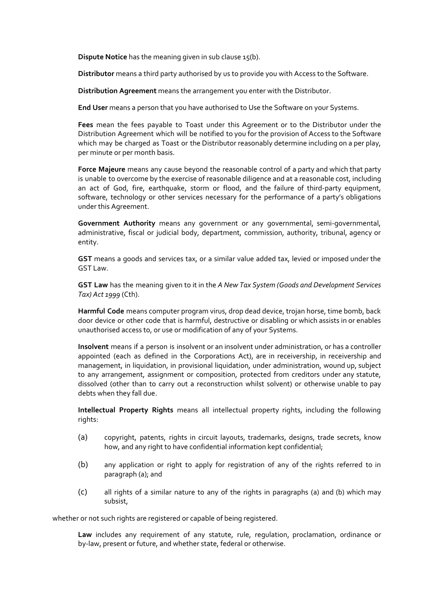**Dispute Notice** has the meaning given in sub clause 15(b).

**Distributor** means a third party authorised by us to provide you with Access to the Software.

**Distribution Agreement** means the arrangement you enter with the Distributor.

**End User** means a person that you have authorised to Use the Software on your Systems.

**Fees** mean the fees payable to Toast under this Agreement or to the Distributor under the Distribution Agreement which will be notified to you for the provision of Access to the Software which may be charged as Toast or the Distributor reasonably determine including on a per play, per minute or per month basis.

**Force Majeure** means any cause beyond the reasonable control of a party and which that party is unable to overcome by the exercise of reasonable diligence and at a reasonable cost, including an act of God, fire, earthquake, storm or flood, and the failure of third-party equipment, software, technology or other services necessary for the performance of a party's obligations under this Agreement.

**Government Authority** means any government or any governmental, semi-governmental, administrative, fiscal or judicial body, department, commission, authority, tribunal, agency or entity.

**GST** means a goods and services tax, or a similar value added tax, levied or imposed under the GST Law.

**GST Law** has the meaning given to it in the *A New Tax System (Goods and Development Services Tax) Act 1999* (Cth).

**Harmful Code** means computer program virus, drop dead device, trojan horse, time bomb, back door device or other code that is harmful, destructive or disabling or which assists in or enables unauthorised access to, or use or modification of any of your Systems.

**Insolvent** means if a person is insolvent or an insolvent under administration, or has a controller appointed (each as defined in the Corporations Act), are in receivership, in receivership and management, in liquidation, in provisional liquidation, under administration, wound up, subject to any arrangement, assignment or composition, protected from creditors under any statute, dissolved (other than to carry out a reconstruction whilst solvent) or otherwise unable to pay debts when they fall due.

**Intellectual Property Rights** means all intellectual property rights, including the following rights:

- (a) copyright, patents, rights in circuit layouts, trademarks, designs, trade secrets, know how, and any right to have confidential information kept confidential;
- (b) any application or right to apply for registration of any of the rights referred to in paragraph (a); and
- (c) all rights of a similar nature to any of the rights in paragraphs (a) and (b) which may subsist,

whether or not such rights are registered or capable of being registered.

**Law** includes any requirement of any statute, rule, regulation, proclamation, ordinance or by-law, present or future, and whether state, federal or otherwise.